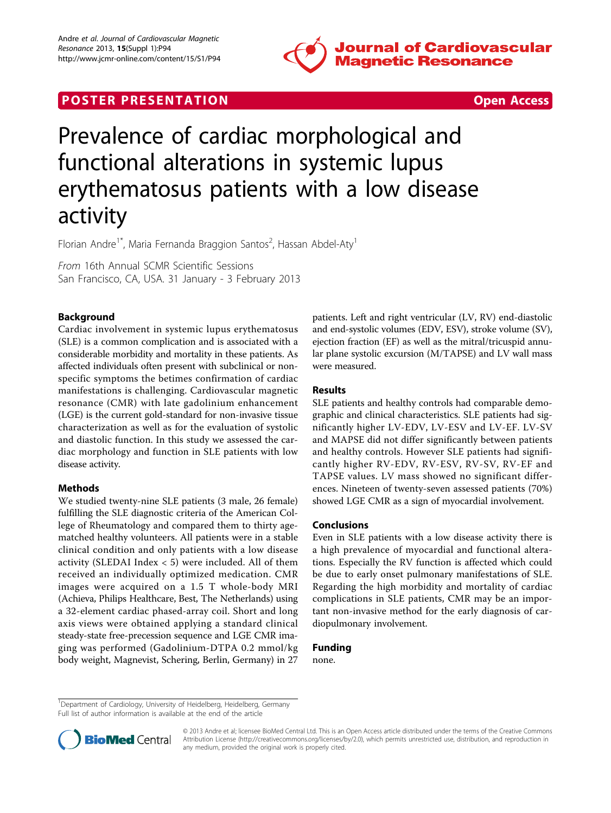

## **POSTER PRESENTATION CONSUMING THE SECOND CONSUMING THE SECOND CONSUMING THE SECOND CONSUMING THE SECOND CONSUMING THE SECOND CONSUMING THE SECOND CONSUMING THE SECOND CONSUMING THE SECOND CONSUMING THE SECOND CONSUMING**



# Prevalence of cardiac morphological and functional alterations in systemic lupus erythematosus patients with a low disease activity

Florian Andre<sup>1\*</sup>, Maria Fernanda Braggion Santos<sup>2</sup>, Hassan Abdel-Aty<sup>1</sup>

From 16th Annual SCMR Scientific Sessions San Francisco, CA, USA. 31 January - 3 February 2013

### Background

Cardiac involvement in systemic lupus erythematosus (SLE) is a common complication and is associated with a considerable morbidity and mortality in these patients. As affected individuals often present with subclinical or nonspecific symptoms the betimes confirmation of cardiac manifestations is challenging. Cardiovascular magnetic resonance (CMR) with late gadolinium enhancement (LGE) is the current gold-standard for non-invasive tissue characterization as well as for the evaluation of systolic and diastolic function. In this study we assessed the cardiac morphology and function in SLE patients with low disease activity.

#### Methods

We studied twenty-nine SLE patients (3 male, 26 female) fulfilling the SLE diagnostic criteria of the American College of Rheumatology and compared them to thirty agematched healthy volunteers. All patients were in a stable clinical condition and only patients with a low disease activity (SLEDAI Index  $<$  5) were included. All of them received an individually optimized medication. CMR images were acquired on a 1.5 T whole-body MRI (Achieva, Philips Healthcare, Best, The Netherlands) using a 32-element cardiac phased-array coil. Short and long axis views were obtained applying a standard clinical steady-state free-precession sequence and LGE CMR imaging was performed (Gadolinium-DTPA 0.2 mmol/kg body weight, Magnevist, Schering, Berlin, Germany) in 27 patients. Left and right ventricular (LV, RV) end-diastolic and end-systolic volumes (EDV, ESV), stroke volume (SV), ejection fraction (EF) as well as the mitral/tricuspid annular plane systolic excursion (M/TAPSE) and LV wall mass were measured.

#### Results

SLE patients and healthy controls had comparable demographic and clinical characteristics. SLE patients had significantly higher LV-EDV, LV-ESV and LV-EF. LV-SV and MAPSE did not differ significantly between patients and healthy controls. However SLE patients had significantly higher RV-EDV, RV-ESV, RV-SV, RV-EF and TAPSE values. LV mass showed no significant differences. Nineteen of twenty-seven assessed patients (70%) showed LGE CMR as a sign of myocardial involvement.

#### Conclusions

Even in SLE patients with a low disease activity there is a high prevalence of myocardial and functional alterations. Especially the RV function is affected which could be due to early onset pulmonary manifestations of SLE. Regarding the high morbidity and mortality of cardiac complications in SLE patients, CMR may be an important non-invasive method for the early diagnosis of cardiopulmonary involvement.

#### Funding

none.

<sup>&</sup>lt;sup>1</sup>Department of Cardiology, University of Heidelberg, Heidelberg, Germany Full list of author information is available at the end of the article



© 2013 Andre et al; licensee BioMed Central Ltd. This is an Open Access article distributed under the terms of the Creative Commons Attribution License [\(http://creativecommons.org/licenses/by/2.0](http://creativecommons.org/licenses/by/2.0)), which permits unrestricted use, distribution, and reproduction in any medium, provided the original work is properly cited.